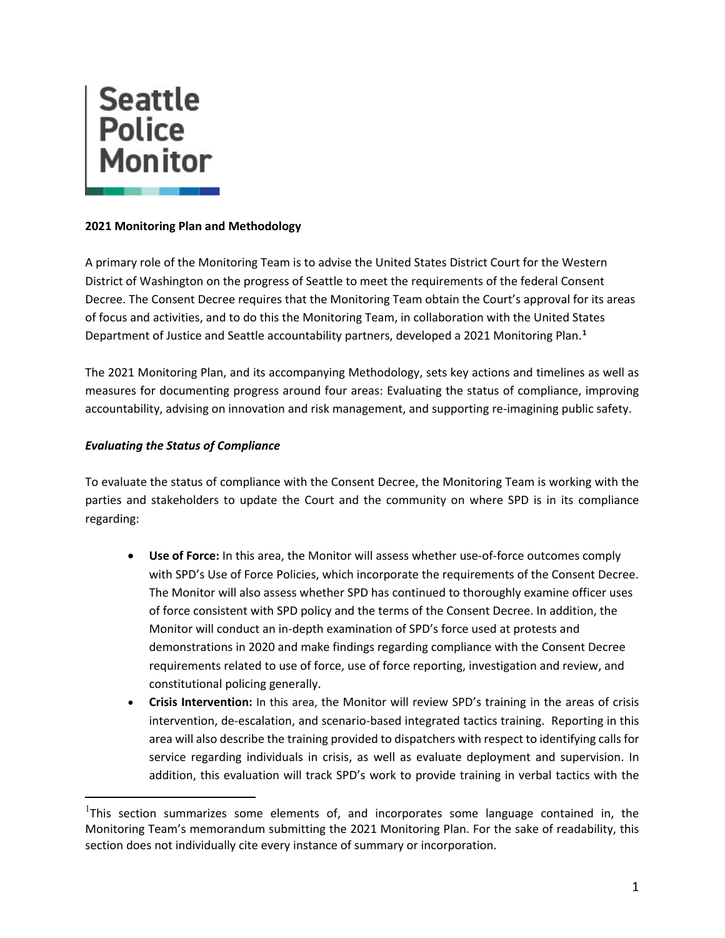

## **2021 Monitoring Plan and Methodology**

A primary role of the Monitoring Team is to advise the United States District Court for the Western District of Washington on the progress of Seattle to meet the requirements of the federal Consent Decree. The Consent Decree requires that the Monitoring Team obtain the Court's approval for its areas of focus and activities, and to do this the Monitoring Team, in collaboration with the United States Department of Justice and Seattle accountability partners, developed a 2021 Monitoring Plan.**[1](#page-0-0)**

The 2021 Monitoring Plan, and its accompanying Methodology, sets key actions and timelines as well as measures for documenting progress around four areas: Evaluating the status of compliance, improving accountability, advising on innovation and risk management, and supporting re-imagining public safety.

## *Evaluating the Status of Compliance*

To evaluate the status of compliance with the Consent Decree, the Monitoring Team is working with the parties and stakeholders to update the Court and the community on where SPD is in its compliance regarding:

- **Use of Force:** In this area, the Monitor will assess whether use-of-force outcomes comply with SPD's Use of Force Policies, which incorporate the requirements of the Consent Decree. The Monitor will also assess whether SPD has continued to thoroughly examine officer uses of force consistent with SPD policy and the terms of the Consent Decree. In addition, the Monitor will conduct an in-depth examination of SPD's force used at protests and demonstrations in 2020 and make findings regarding compliance with the Consent Decree requirements related to use of force, use of force reporting, investigation and review, and constitutional policing generally.
- **Crisis Intervention:** In this area, the Monitor will review SPD's training in the areas of crisis intervention, de-escalation, and scenario-based integrated tactics training. Reporting in this area will also describe the training provided to dispatchers with respect to identifying calls for service regarding individuals in crisis, as well as evaluate deployment and supervision. In addition, this evaluation will track SPD's work to provide training in verbal tactics with the

<span id="page-0-0"></span><sup>&</sup>lt;sup>1</sup>This section summarizes some elements of, and incorporates some language contained in, the Monitoring Team's memorandum submitting the 2021 Monitoring Plan. For the sake of readability, this section does not individually cite every instance of summary or incorporation.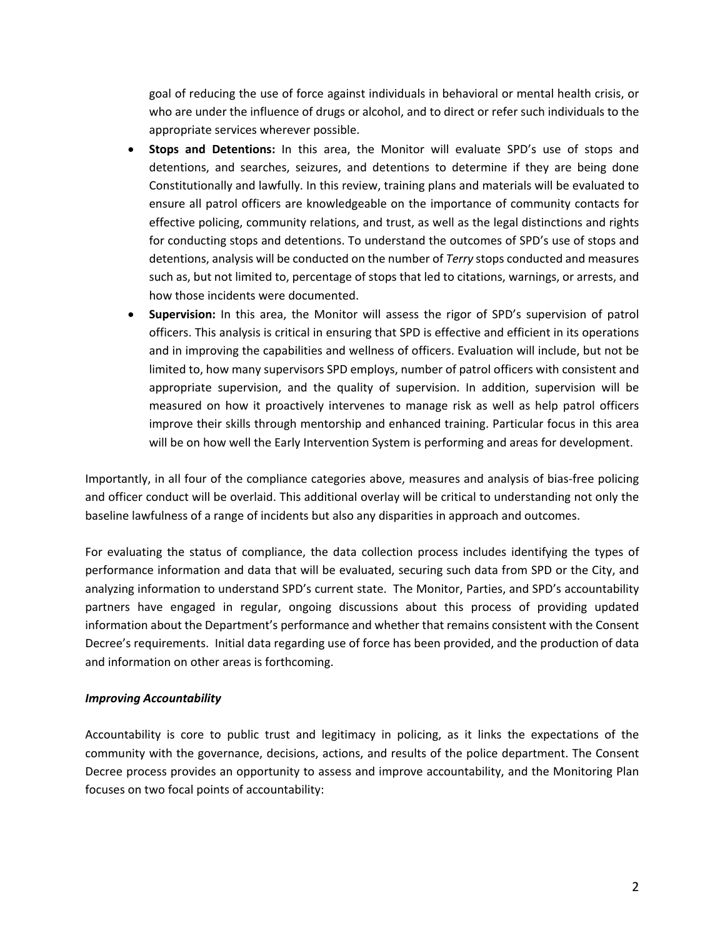goal of reducing the use of force against individuals in behavioral or mental health crisis, or who are under the influence of drugs or alcohol, and to direct or refer such individuals to the appropriate services wherever possible.

- **Stops and Detentions:** In this area, the Monitor will evaluate SPD's use of stops and detentions, and searches, seizures, and detentions to determine if they are being done Constitutionally and lawfully. In this review, training plans and materials will be evaluated to ensure all patrol officers are knowledgeable on the importance of community contacts for effective policing, community relations, and trust, as well as the legal distinctions and rights for conducting stops and detentions. To understand the outcomes of SPD's use of stops and detentions, analysis will be conducted on the number of *Terry* stops conducted and measures such as, but not limited to, percentage of stops that led to citations, warnings, or arrests, and how those incidents were documented.
- **Supervision:** In this area, the Monitor will assess the rigor of SPD's supervision of patrol officers. This analysis is critical in ensuring that SPD is effective and efficient in its operations and in improving the capabilities and wellness of officers. Evaluation will include, but not be limited to, how many supervisors SPD employs, number of patrol officers with consistent and appropriate supervision, and the quality of supervision. In addition, supervision will be measured on how it proactively intervenes to manage risk as well as help patrol officers improve their skills through mentorship and enhanced training. Particular focus in this area will be on how well the Early Intervention System is performing and areas for development.

Importantly, in all four of the compliance categories above, measures and analysis of bias-free policing and officer conduct will be overlaid. This additional overlay will be critical to understanding not only the baseline lawfulness of a range of incidents but also any disparities in approach and outcomes.

For evaluating the status of compliance, the data collection process includes identifying the types of performance information and data that will be evaluated, securing such data from SPD or the City, and analyzing information to understand SPD's current state. The Monitor, Parties, and SPD's accountability partners have engaged in regular, ongoing discussions about this process of providing updated information about the Department's performance and whether that remains consistent with the Consent Decree's requirements. Initial data regarding use of force has been provided, and the production of data and information on other areas is forthcoming.

### *Improving Accountability*

Accountability is core to public trust and legitimacy in policing, as it links the expectations of the community with the governance, decisions, actions, and results of the police department. The Consent Decree process provides an opportunity to assess and improve accountability, and the Monitoring Plan focuses on two focal points of accountability: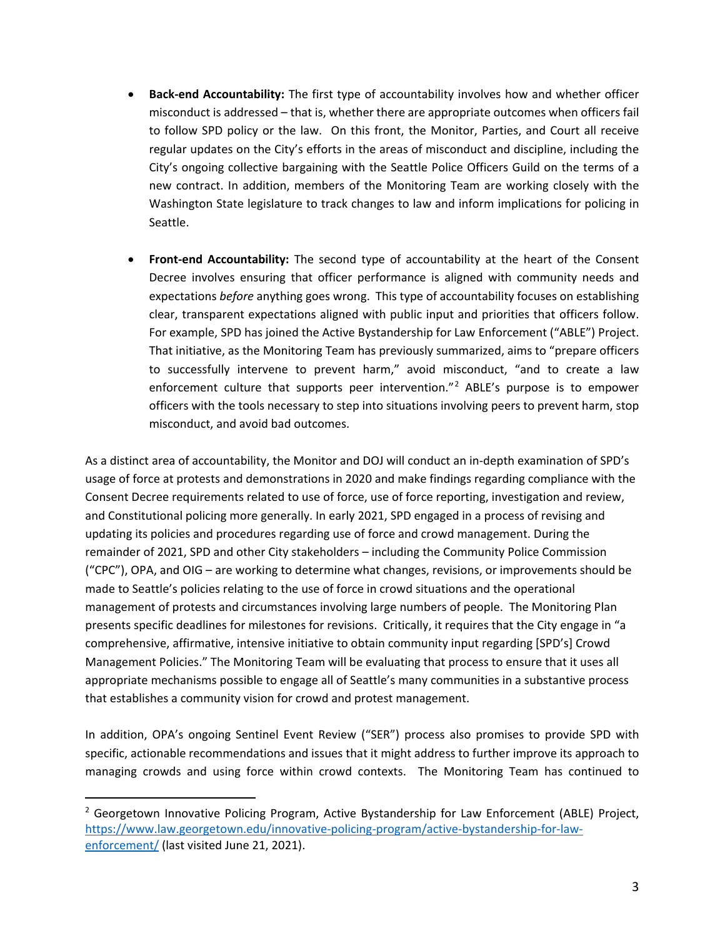- **Back-end Accountability:** The first type of accountability involves how and whether officer misconduct is addressed – that is, whether there are appropriate outcomes when officers fail to follow SPD policy or the law. On this front, the Monitor, Parties, and Court all receive regular updates on the City's efforts in the areas of misconduct and discipline, including the City's ongoing collective bargaining with the Seattle Police Officers Guild on the terms of a new contract. In addition, members of the Monitoring Team are working closely with the Washington State legislature to track changes to law and inform implications for policing in Seattle.
- **Front-end Accountability:** The second type of accountability at the heart of the Consent Decree involves ensuring that officer performance is aligned with community needs and expectations *before* anything goes wrong. This type of accountability focuses on establishing clear, transparent expectations aligned with public input and priorities that officers follow. For example, SPD has joined the Active Bystandership for Law Enforcement ("ABLE") Project. That initiative, as the Monitoring Team has previously summarized, aims to "prepare officers to successfully intervene to prevent harm," avoid misconduct, "and to create a law enforcement culture that supports peer intervention."[2](#page-2-0) ABLE's purpose is to empower officers with the tools necessary to step into situations involving peers to prevent harm, stop misconduct, and avoid bad outcomes.

As a distinct area of accountability, the Monitor and DOJ will conduct an in-depth examination of SPD's usage of force at protests and demonstrations in 2020 and make findings regarding compliance with the Consent Decree requirements related to use of force, use of force reporting, investigation and review, and Constitutional policing more generally. In early 2021, SPD engaged in a process of revising and updating its policies and procedures regarding use of force and crowd management. During the remainder of 2021, SPD and other City stakeholders – including the Community Police Commission ("CPC"), OPA, and OIG – are working to determine what changes, revisions, or improvements should be made to Seattle's policies relating to the use of force in crowd situations and the operational management of protests and circumstances involving large numbers of people. The Monitoring Plan presents specific deadlines for milestones for revisions. Critically, it requires that the City engage in "a comprehensive, affirmative, intensive initiative to obtain community input regarding [SPD's] Crowd Management Policies." The Monitoring Team will be evaluating that process to ensure that it uses all appropriate mechanisms possible to engage all of Seattle's many communities in a substantive process that establishes a community vision for crowd and protest management.

In addition, OPA's ongoing Sentinel Event Review ("SER") process also promises to provide SPD with specific, actionable recommendations and issues that it might address to further improve its approach to managing crowds and using force within crowd contexts. The Monitoring Team has continued to

<span id="page-2-0"></span><sup>&</sup>lt;sup>2</sup> Georgetown Innovative Policing Program, Active Bystandership for Law Enforcement (ABLE) Project, [https://www.law.georgetown.edu/innovative-policing-program/active-bystandership-for-law](https://www.law.georgetown.edu/innovative-policing-program/active-bystandership-for-law-enforcement/)[enforcement/](https://www.law.georgetown.edu/innovative-policing-program/active-bystandership-for-law-enforcement/) (last visited June 21, 2021).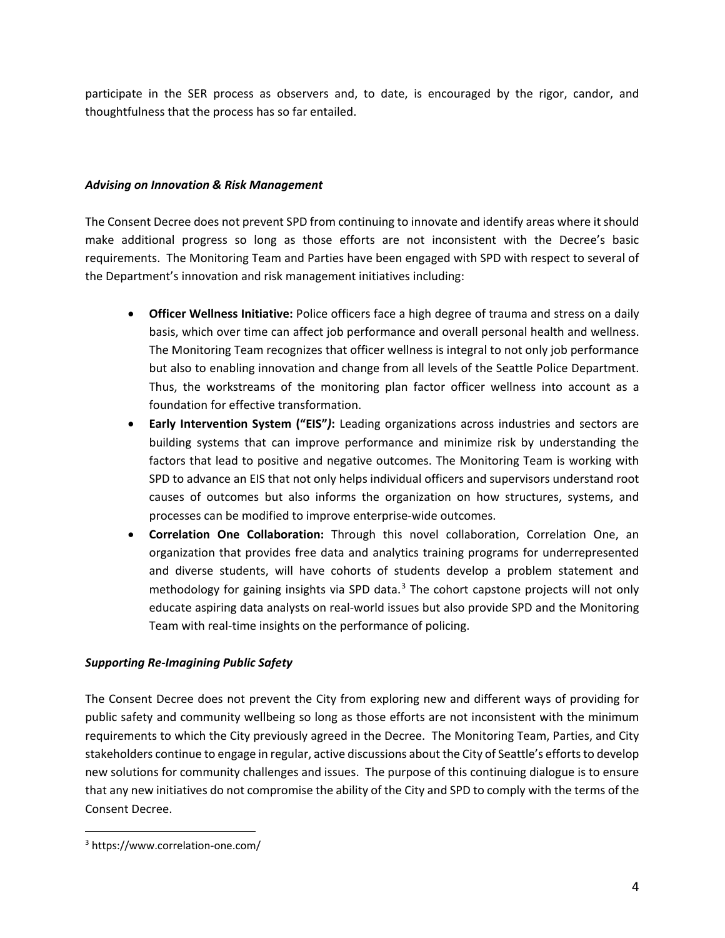participate in the SER process as observers and, to date, is encouraged by the rigor, candor, and thoughtfulness that the process has so far entailed.

## *Advising on Innovation & Risk Management*

The Consent Decree does not prevent SPD from continuing to innovate and identify areas where it should make additional progress so long as those efforts are not inconsistent with the Decree's basic requirements. The Monitoring Team and Parties have been engaged with SPD with respect to several of the Department's innovation and risk management initiatives including:

- **Officer Wellness Initiative:** Police officers face a high degree of trauma and stress on a daily basis, which over time can affect job performance and overall personal health and wellness. The Monitoring Team recognizes that officer wellness is integral to not only job performance but also to enabling innovation and change from all levels of the Seattle Police Department. Thus, the workstreams of the monitoring plan factor officer wellness into account as a foundation for effective transformation.
- **Early Intervention System ("EIS"***)***:** Leading organizations across industries and sectors are building systems that can improve performance and minimize risk by understanding the factors that lead to positive and negative outcomes. The Monitoring Team is working with SPD to advance an EIS that not only helps individual officers and supervisors understand root causes of outcomes but also informs the organization on how structures, systems, and processes can be modified to improve enterprise-wide outcomes.
- **Correlation One Collaboration:** Through this novel collaboration, Correlation One, an organization that provides free data and analytics training programs for underrepresented and diverse students, will have cohorts of students develop a problem statement and methodology for gaining insights via SPD data. $3$  The cohort capstone projects will not only educate aspiring data analysts on real-world issues but also provide SPD and the Monitoring Team with real-time insights on the performance of policing.

# *Supporting Re-Imagining Public Safety*

The Consent Decree does not prevent the City from exploring new and different ways of providing for public safety and community wellbeing so long as those efforts are not inconsistent with the minimum requirements to which the City previously agreed in the Decree. The Monitoring Team, Parties, and City stakeholders continue to engage in regular, active discussions about the City of Seattle's efforts to develop new solutions for community challenges and issues. The purpose of this continuing dialogue is to ensure that any new initiatives do not compromise the ability of the City and SPD to comply with the terms of the Consent Decree.

<span id="page-3-0"></span><sup>3</sup> https://www.correlation-one.com/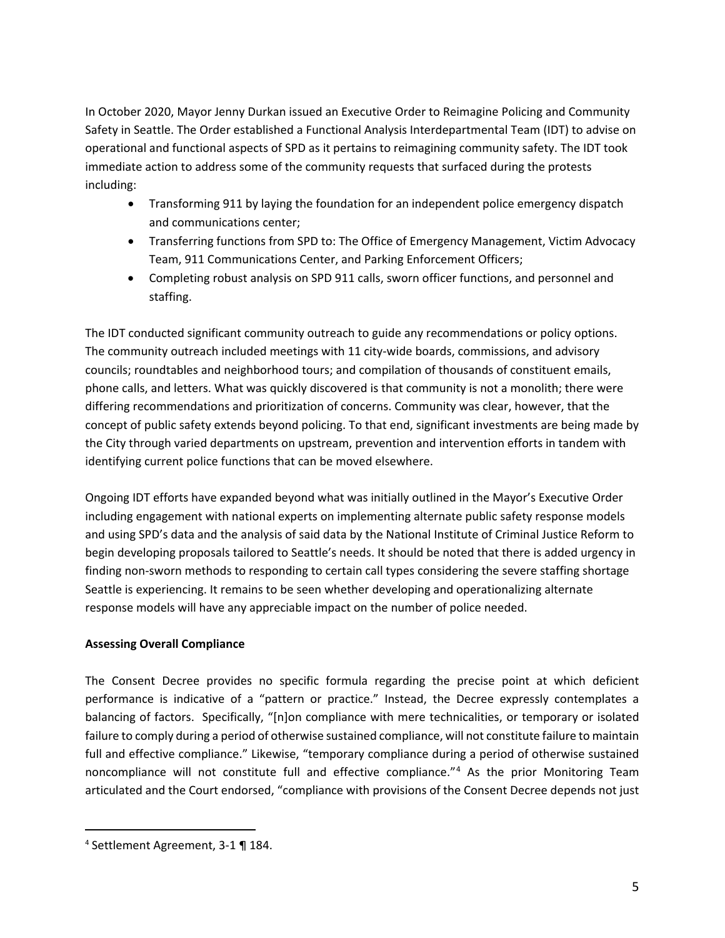In October 2020, Mayor Jenny Durkan issued an Executive Order to Reimagine Policing and Community Safety in Seattle. The Order established a Functional Analysis Interdepartmental Team (IDT) to advise on operational and functional aspects of SPD as it pertains to reimagining community safety. The IDT took immediate action to address some of the community requests that surfaced during the protests including:

- Transforming 911 by laying the foundation for an independent police emergency dispatch and communications center;
- Transferring functions from SPD to: The Office of Emergency Management, Victim Advocacy Team, 911 Communications Center, and Parking Enforcement Officers;
- Completing robust analysis on SPD 911 calls, sworn officer functions, and personnel and staffing.

The IDT conducted significant community outreach to guide any recommendations or policy options. The community outreach included meetings with 11 city-wide boards, commissions, and advisory councils; roundtables and neighborhood tours; and compilation of thousands of constituent emails, phone calls, and letters. What was quickly discovered is that community is not a monolith; there were differing recommendations and prioritization of concerns. Community was clear, however, that the concept of public safety extends beyond policing. To that end, significant investments are being made by the City through varied departments on upstream, prevention and intervention efforts in tandem with identifying current police functions that can be moved elsewhere.

Ongoing IDT efforts have expanded beyond what was initially outlined in the Mayor's Executive Order including engagement with national experts on implementing alternate public safety response models and using SPD's data and the analysis of said data by the National Institute of Criminal Justice Reform to begin developing proposals tailored to Seattle's needs. It should be noted that there is added urgency in finding non-sworn methods to responding to certain call types considering the severe staffing shortage Seattle is experiencing. It remains to be seen whether developing and operationalizing alternate response models will have any appreciable impact on the number of police needed.

### **Assessing Overall Compliance**

The Consent Decree provides no specific formula regarding the precise point at which deficient performance is indicative of a "pattern or practice." Instead, the Decree expressly contemplates a balancing of factors. Specifically, "[n]on compliance with mere technicalities, or temporary or isolated failure to comply during a period of otherwise sustained compliance, will not constitute failure to maintain full and effective compliance." Likewise, "temporary compliance during a period of otherwise sustained noncompliance will not constitute full and effective compliance."[4](#page-4-0) As the prior Monitoring Team articulated and the Court endorsed, "compliance with provisions of the Consent Decree depends not just

<span id="page-4-0"></span><sup>4</sup> Settlement Agreement, 3-1 ¶ 184.